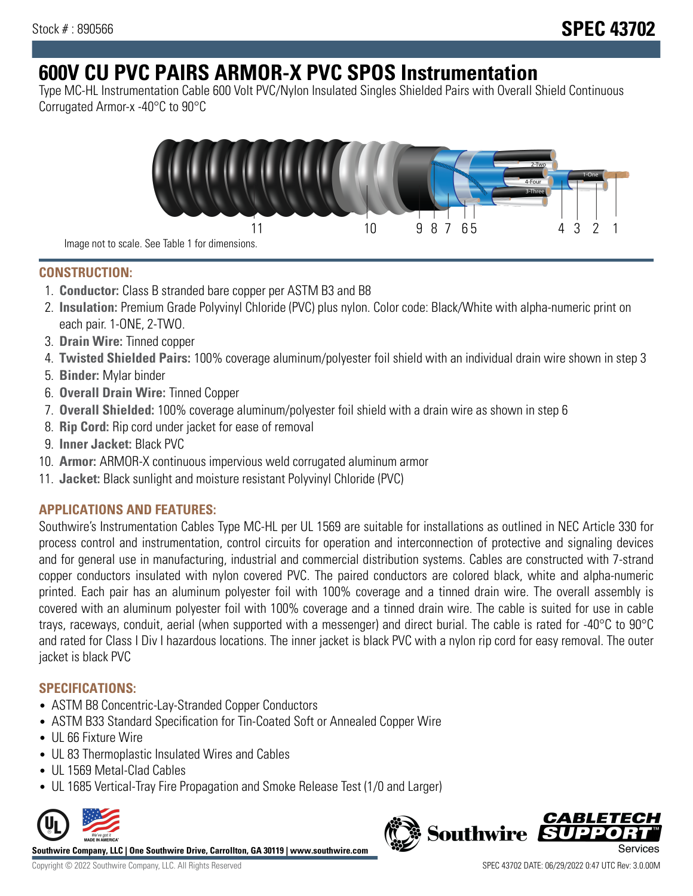# **600V CU PVC PAIRS ARMOR-X PVC SPOS Instrumentation**

Type MC-HL Instrumentation Cable 600 Volt PVC/Nylon Insulated Singles Shielded Pairs with Overall Shield Continuous Corrugated Armor-x -40°C to 90°C



**CONSTRUCTION:**

- 1. **Conductor:** Class B stranded bare copper per ASTM B3 and B8
- 2. **Insulation:** Premium Grade Polyvinyl Chloride (PVC) plus nylon. Color code: Black/White with alpha-numeric print on each pair. 1-ONE, 2-TWO.
- 3. **Drain Wire:** Tinned copper
- 4. **Twisted Shielded Pairs:** 100% coverage aluminum/polyester foil shield with an individual drain wire shown in step 3
- 5. **Binder:** Mylar binder
- 6. **Overall Drain Wire:** Tinned Copper
- 7. **Overall Shielded:** 100% coverage aluminum/polyester foil shield with a drain wire as shown in step 6
- 8. **Rip Cord:** Rip cord under jacket for ease of removal
- 9. **Inner Jacket:** Black PVC
- 10. **Armor:** ARMOR-X continuous impervious weld corrugated aluminum armor
- 11. **Jacket:** Black sunlight and moisture resistant Polyvinyl Chloride (PVC)

## **APPLICATIONS AND FEATURES:**

Southwire's Instrumentation Cables Type MC-HL per UL 1569 are suitable for installations as outlined in NEC Article 330 for process control and instrumentation, control circuits for operation and interconnection of protective and signaling devices and for general use in manufacturing, industrial and commercial distribution systems. Cables are constructed with 7-strand copper conductors insulated with nylon covered PVC. The paired conductors are colored black, white and alpha-numeric printed. Each pair has an aluminum polyester foil with 100% coverage and a tinned drain wire. The overall assembly is covered with an aluminum polyester foil with 100% coverage and a tinned drain wire. The cable is suited for use in cable trays, raceways, conduit, aerial (when supported with a messenger) and direct burial. The cable is rated for -40°C to 90°C and rated for Class I Div I hazardous locations. The inner jacket is black PVC with a nylon rip cord for easy removal. The outer jacket is black PVC

### **SPECIFICATIONS:**

- ASTM B8 Concentric-Lay-Stranded Copper Conductors
- ASTM B33 Standard Specification for Tin-Coated Soft or Annealed Copper Wire
- UL 66 Fixture Wire
- UL 83 Thermoplastic Insulated Wires and Cables
- UL 1569 Metal-Clad Cables
- UL 1685 Vertical-Tray Fire Propagation and Smoke Release Test (1/0 and Larger)



**Southwire Company, LLC | One Southwire Drive, Carrollton, GA 30119 | www.southwire.com**